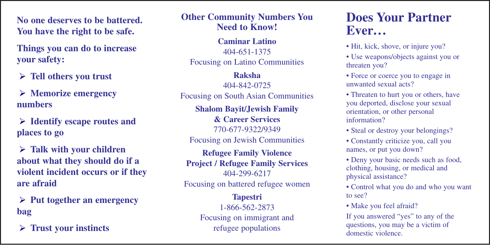**No one deserves to be battered. You have the right to be safe.**

**Things you can do to increase your safety:**

**Tell others you trust**

**Memorize emergency numbers**

**Identify escape routes and places to go**

**Talk with your children about what they should do if a violent incident occurs or if they are afraid**

**Put together an emergency bag**

**Trust your instincts**

**Other Community Numbers You Need to Know!**

**Caminar Latino** 404-651-1375 Focusing on Latino Communities

#### **Raksha**

404-842-0725 Focusing on South Asian Communities

**Shalom Bayit/Jewish Family & Career Services** 770-677-9322/9349 Focusing on Jewish Communities

**Refugee Family Violence Project / Refugee Family Services** 404-299-6217 Focusing on battered refugee women

> **Tapestri** 1-866-562-2873 Focusing on immigrant and refugee populations

## **Does Your Partner Ever...**

- Hit, kick, shove, or injure you?
- Use weapons/objects against you or threaten you?
- Force or coerce you to engage in unwanted sexual acts?
- Threaten to hurt you or others, have you deported, disclose your sexual orientation, or other personal information?
- Steal or destroy your belongings?
- Constantly criticize you, call you names, or put you down?
- Deny your basic needs such as food, clothing, housing, or medical and physical assistance?
- Control what you do and who you want to see?
- Make you feel afraid?

If you answered "yes" to any of the questions, you may be a victim of domestic violence.